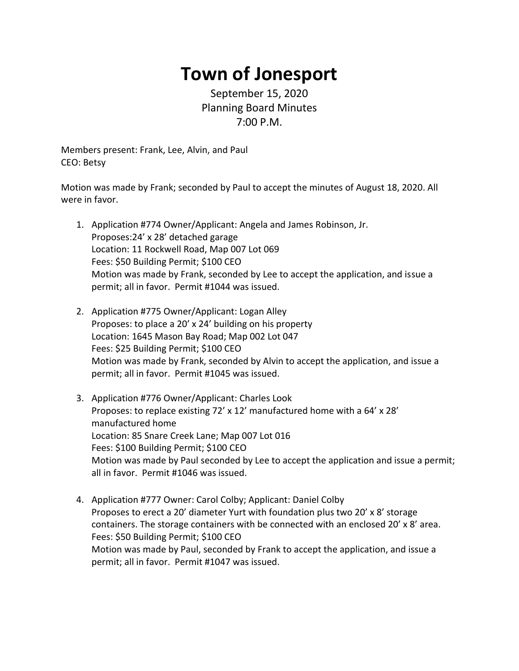## **Town of Jonesport**

September 15, 2020 Planning Board Minutes 7:00 P.M.

Members present: Frank, Lee, Alvin, and Paul CEO: Betsy

Motion was made by Frank; seconded by Paul to accept the minutes of August 18, 2020. All were in favor.

- 1. Application #774 Owner/Applicant: Angela and James Robinson, Jr. Proposes:24' x 28' detached garage Location: 11 Rockwell Road, Map 007 Lot 069 Fees: \$50 Building Permit; \$100 CEO Motion was made by Frank, seconded by Lee to accept the application, and issue a permit; all in favor. Permit #1044 was issued.
- 2. Application #775 Owner/Applicant: Logan Alley Proposes: to place a 20' x 24' building on his property Location: 1645 Mason Bay Road; Map 002 Lot 047 Fees: \$25 Building Permit; \$100 CEO Motion was made by Frank, seconded by Alvin to accept the application, and issue a permit; all in favor. Permit #1045 was issued.
- 3. Application #776 Owner/Applicant: Charles Look Proposes: to replace existing 72' x 12' manufactured home with a 64' x 28' manufactured home Location: 85 Snare Creek Lane; Map 007 Lot 016 Fees: \$100 Building Permit; \$100 CEO Motion was made by Paul seconded by Lee to accept the application and issue a permit; all in favor. Permit #1046 was issued.
- 4. Application #777 Owner: Carol Colby; Applicant: Daniel Colby Proposes to erect a 20' diameter Yurt with foundation plus two 20' x 8' storage containers. The storage containers with be connected with an enclosed 20' x 8' area. Fees: \$50 Building Permit; \$100 CEO Motion was made by Paul, seconded by Frank to accept the application, and issue a permit; all in favor. Permit #1047 was issued.